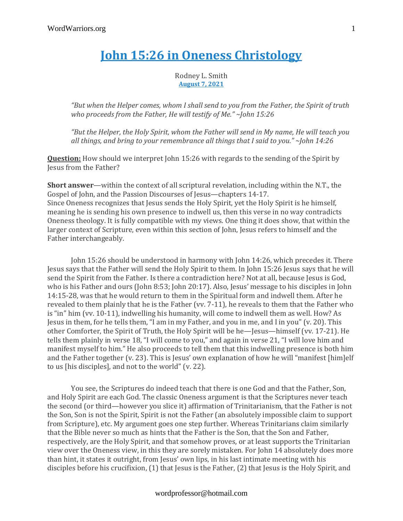## **John 15:26 in Oneness [Christology](https://discipleinthelight.wordpress.com/2021/07/17/john-1526-in-oneness-christology/)**

Rodney L. Smith **[August](https://discipleinthelight.wordpress.com/2021/07/17/john-1526-in-oneness-christology/) 7, 2021**

*"But when the Helper comes, whom I shall send to you from the Father, the Spirit of truth who proceeds from the Father, He will testify of Me." ~John 15:26*

*"But the Helper, the Holy Spirit, whom the Father will send in My name, He will teach you all things, and bring to your remembrance all things that I said to you." ~John 14:26*

**Question:** How should we interpret John 15:26 with regards to the sending of the Spirit by Jesus from the Father?

**Short answer**—within the context of all scriptural revelation, including within the N.T., the Gospel of John, and the Passion Discourses of Jesus—chapters 14-17. Since Oneness recognizes that Jesus sends the Holy Spirit, yet the Holy Spirit is he himself, meaning he is sending his own presence to indwell us, then this verse in no way contradicts Oneness theology. It is fully compatible with my views. One thing it does show, that within the larger context of Scripture, even within this section of John, Jesus refers to himself and the Father interchangeably.

John 15:26 should be understood in harmony with John 14:26, which precedes it. There Jesus says that the Father will send the Holy Spirit to them. In John 15:26 Jesus says that he will send the Spirit from the Father. Is there a contradiction here? Not at all, because Jesus is God, who is his Father and ours (John 8:53; John 20:17). Also, Jesus' message to his disciples in John 14:15-28, was that he would return to them in the Spiritual form and indwell them. After he revealed to them plainly that he is the Father (vv. 7-11), he reveals to them that the Father who is "in" him (vv. 10-11), indwelling his humanity, will come to indwell them as well. How? As Jesus in them, for he tells them, "I am in my Father, and you in me, and I in you" (v. 20). This other Comforter, the Spirit of Truth, the Holy Spirit will be he—Jesus—himself (vv. 17-21). He tells them plainly in verse 18, "I will come to you," and again in verse 21, "I will love him and manifest myself to him." He also proceeds to tell them that this indwelling presence is both him and the Father together (v. 23). This is Jesus' own explanation of how he will "manifest [him]elf to us [his disciples], and not to the world" (v. 22).

You see, the Scriptures do indeed teach that there is one God and that the Father, Son, and Holy Spirit are each God. The classic Oneness argument is that the Scriptures never teach the second (or third—however you slice it) affirmation of Trinitarianism, that the Father is not the Son, Son is not the Spirit, Spirit is not the Father (an absolutely impossible claim to support from Scripture), etc. My argument goes one step further. Whereas Trinitarians claim similarly that the Bible never so much as hints that the Father is the Son, that the Son and Father, respectively, are the Holy Spirit, and that somehow proves, or at least supports the Trinitarian view over the Oneness view, in this they are sorely mistaken. For John 14 absolutely does more than hint, it states it outright, from Jesus' own lips, in his last intimate meeting with his disciples before his crucifixion, (1) that Jesus is the Father, (2) that Jesus is the Holy Spirit, and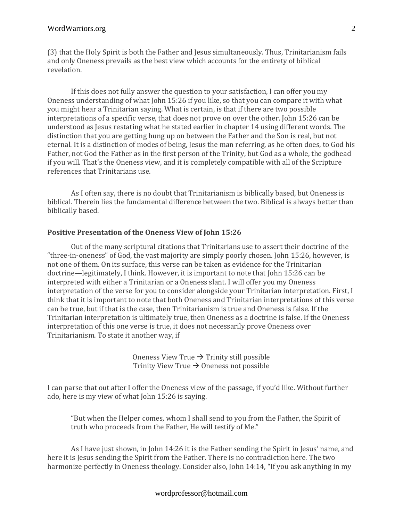(3) that the Holy Spirit is both the Father and Jesus simultaneously. Thus, Trinitarianism fails and only Oneness prevails as the best view which accounts for the entirety of biblical revelation.

If this does not fully answer the question to your satisfaction, I can offer you my Oneness understanding of what John 15:26 if you like, so that you can compare it with what you might hear a Trinitarian saying. What is certain, is that if there are two possible interpretations of a specific verse, that does not prove on over the other. John 15:26 can be understood as Jesus restating what he stated earlier in chapter 14 using different words. The distinction that you are getting hung up on between the Father and the Son is real, but not eternal. It is a distinction of modes of being, Jesus the man referring, as he often does, to God his Father, not God the Father as in the first person of the Trinity, but God as a whole, the godhead if you will. That's the Oneness view, and it is completely compatible with all of the Scripture references that Trinitarians use.

As I often say, there is no doubt that Trinitarianism is biblically based, but Oneness is biblical. Therein lies the fundamental difference between the two. Biblical is always better than biblically based.

## **Positive Presentation of the Oneness View of John 15:26**

Out of the many scriptural citations that Trinitarians use to assert their doctrine of the "three-in-oneness" of God, the vast majority are simply poorly chosen. John 15:26, however, is not one of them. On its surface, this verse can be taken as evidence for the Trinitarian doctrine—legitimately, I think. However, it is important to note that John 15:26 can be interpreted with either a Trinitarian or a Oneness slant. I will offer you my Oneness interpretation of the verse for you to consider alongside your Trinitarian interpretation. First, I think that it is important to note that both Oneness and Trinitarian interpretations of this verse can be true, but if that is the case, then Trinitarianism is true and Oneness is false. If the Trinitarian interpretation is ultimately true, then Oneness as a doctrine is false. If the Oneness interpretation of this one verse is true, it does not necessarily prove Oneness over Trinitarianism. To state it another way, if

> Oneness View True  $\rightarrow$  Trinity still possible Trinity View True  $\rightarrow$  Oneness not possible

I can parse that out after I offer the Oneness view of the passage, if you'd like. Without further ado, here is my view of what John 15:26 is saying.

"But when the Helper comes, whom I shall send to you from the Father, the Spirit of truth who proceeds from the Father, He will testify of Me."

As I have just shown, in John 14:26 it is the Father sending the Spirit in Jesus' name, and here it is Jesus sending the Spirit from the Father. There is no contradiction here. The two harmonize perfectly in Oneness theology. Consider also, John 14:14, "If you ask anything in my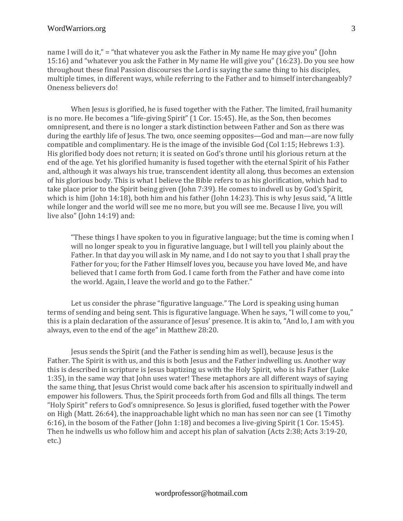name I will do it," = "that whatever you ask the Father in My name He may give you" (John 15:16) and "whatever you ask the Father in My name He will give you" (16:23). Do you see how throughout these final Passion discourses the Lord is saying the same thing to his disciples, multiple times, in different ways, while referring to the Father and to himself interchangeably? Oneness believers do!

When Jesus is glorified, he is fused together with the Father. The limited, frail humanity is no more. He becomes a "life-giving Spirit" (1 Cor. 15:45). He, as the Son, then becomes omnipresent, and there is no longer a stark distinction between Father and Son as there was during the earthly life of Jesus. The two, once seeming opposites—God and man—are now fully compatible and complimentary. He is the image of the invisible God (Col 1:15; Hebrews 1:3). His glorified body does not return; it is seated on God's throne until his glorious return at the end of the age. Yet his glorified humanity is fused together with the eternal Spirit of his Father and, although it was always his true, transcendent identity all along, thus becomes an extension of his glorious body. This is what I believe the Bible refers to as his glorification, which had to take place prior to the Spirit being given (John 7:39). He comes to indwell us by God's Spirit, which is him (John 14:18), both him and his father (John 14:23). This is why Jesus said, "A little while longer and the world will see me no more, but you will see me. Because I live, you will live also" (John 14:19) and:

"These things I have spoken to you in figurative language; but the time is coming when I will no longer speak to you in figurative language, but I will tell you plainly about the Father. In that day you will ask in My name, and I do not say to you that I shall pray the Father for you; for the Father Himself loves you, because you have loved Me, and have believed that I came forth from God. I came forth from the Father and have come into the world. Again, I leave the world and go to the Father."

Let us consider the phrase "figurative language." The Lord is speaking using human terms of sending and being sent. This is figurative language. When he says, "I will come to you," this is a plain declaration of the assurance of Jesus' presence. It is akin to, "And lo, I am with you always, even to the end of the age" in Matthew 28:20.

Jesus sends the Spirit (and the Father is sending him as well), because Jesus is the Father. The Spirit is with us, and this is both Jesus and the Father indwelling us. Another way this is described in scripture is Jesus baptizing us with the Holy Spirit, who is his Father (Luke 1:35), in the same way that John uses water! These metaphors are all different ways of saying the same thing, that Jesus Christ would come back after his ascension to spiritually indwell and empower his followers. Thus, the Spirit proceeds forth from God and fills all things. The term "Holy Spirit" refers to God's omnipresence. So Jesus is glorified, fused together with the Power on High (Matt. 26:64), the inapproachable light which no man has seen nor can see (1 Timothy 6:16), in the bosom of the Father (John 1:18) and becomes a live-giving Spirit (1 Cor. 15:45). Then he indwells us who follow him and accept his plan of salvation (Acts 2:38; Acts 3:19-20, etc.)